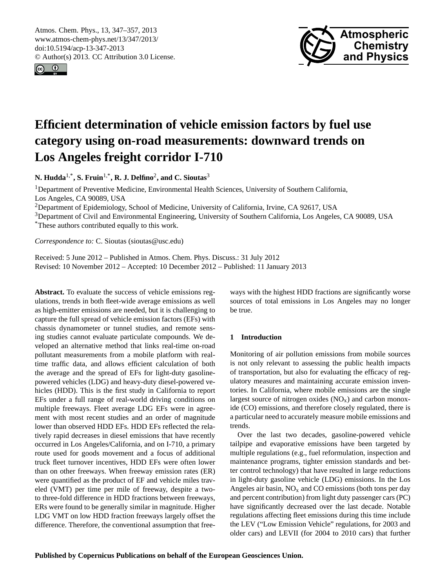<span id="page-0-0"></span>Atmos. Chem. Phys., 13, 347–357, 2013 www.atmos-chem-phys.net/13/347/2013/ doi:10.5194/acp-13-347-2013 © Author(s) 2013. CC Attribution 3.0 License.





# **Efficient determination of vehicle emission factors by fuel use category using on-road measurements: downward trends on Los Angeles freight corridor I-710**

**N. Hudda**1,\***, S. Fruin**1,\***, R. J. Delfino**<sup>2</sup> **, and C. Sioutas**<sup>3</sup>

<sup>1</sup>Department of Preventive Medicine, Environmental Health Sciences, University of Southern California, Los Angeles, CA 90089, USA

<sup>2</sup>Department of Epidemiology, School of Medicine, University of California, Irvine, CA 92617, USA

<sup>3</sup>Department of Civil and Environmental Engineering, University of Southern California, Los Angeles, CA 90089, USA \*These authors contributed equally to this work.

*Correspondence to:* C. Sioutas (sioutas@usc.edu)

Received: 5 June 2012 – Published in Atmos. Chem. Phys. Discuss.: 31 July 2012 Revised: 10 November 2012 – Accepted: 10 December 2012 – Published: 11 January 2013

**Abstract.** To evaluate the success of vehicle emissions regulations, trends in both fleet-wide average emissions as well as high-emitter emissions are needed, but it is challenging to capture the full spread of vehicle emission factors (EFs) with chassis dynamometer or tunnel studies, and remote sensing studies cannot evaluate particulate compounds. We developed an alternative method that links real-time on-road pollutant measurements from a mobile platform with realtime traffic data, and allows efficient calculation of both the average and the spread of EFs for light-duty gasolinepowered vehicles (LDG) and heavy-duty diesel-powered vehicles (HDD). This is the first study in California to report EFs under a full range of real-world driving conditions on multiple freeways. Fleet average LDG EFs were in agreement with most recent studies and an order of magnitude lower than observed HDD EFs. HDD EFs reflected the relatively rapid decreases in diesel emissions that have recently occurred in Los Angeles/California, and on I-710, a primary route used for goods movement and a focus of additional truck fleet turnover incentives, HDD EFs were often lower than on other freeways. When freeway emission rates (ER) were quantified as the product of EF and vehicle miles traveled (VMT) per time per mile of freeway, despite a twoto three-fold difference in HDD fractions between freeways, ERs were found to be generally similar in magnitude. Higher LDG VMT on low HDD fraction freeways largely offset the difference. Therefore, the conventional assumption that free-

ways with the highest HDD fractions are significantly worse sources of total emissions in Los Angeles may no longer be true.

# **1 Introduction**

Monitoring of air pollution emissions from mobile sources is not only relevant to assessing the public health impacts of transportation, but also for evaluating the efficacy of regulatory measures and maintaining accurate emission inventories. In California, where mobile emissions are the single largest source of nitrogen oxides  $(NO<sub>x</sub>)$  and carbon monoxide (CO) emissions, and therefore closely regulated, there is a particular need to accurately measure mobile emissions and trends.

Over the last two decades, gasoline-powered vehicle tailpipe and evaporative emissions have been targeted by multiple regulations (e.g., fuel reformulation, inspection and maintenance programs, tighter emission standards and better control technology) that have resulted in large reductions in light-duty gasoline vehicle (LDG) emissions. In the Los Angeles air basin,  $NO<sub>x</sub>$  and CO emissions (both tons per day and percent contribution) from light duty passenger cars (PC) have significantly decreased over the last decade. Notable regulations affecting fleet emissions during this time include the LEV ("Low Emission Vehicle" regulations, for 2003 and older cars) and LEVII (for 2004 to 2010 cars) that further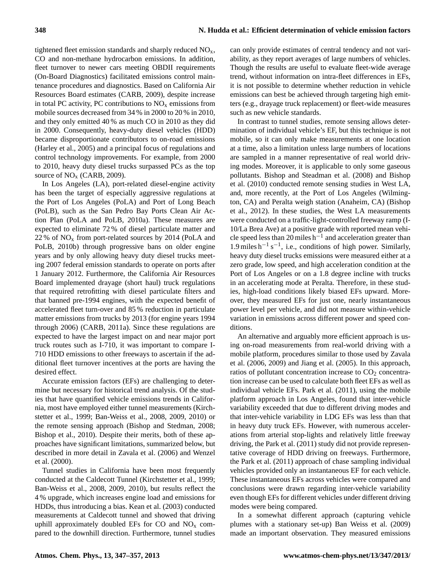tightened fleet emission standards and sharply reduced  $NO<sub>x</sub>$ , CO and non-methane hydrocarbon emissions. In addition, fleet turnover to newer cars meeting OBDII requirements (On-Board Diagnostics) facilitated emissions control maintenance procedures and diagnostics. Based on California Air Resources Board estimates (CARB, 2009), despite increase in total PC activity, PC contributions to  $NO<sub>x</sub>$  emissions from mobile sources decreased from 34 % in 2000 to 20 % in 2010, and they only emitted 40 % as much CO in 2010 as they did in 2000. Consequently, heavy-duty diesel vehicles (HDD) became disproportionate contributors to on-road emissions (Harley et al., 2005) and a principal focus of regulations and control technology improvements. For example, from 2000 to 2010, heavy duty diesel trucks surpassed PCs as the top source of  $NO<sub>x</sub>$  (CARB, 2009).

In Los Angeles (LA), port-related diesel-engine activity has been the target of especially aggressive regulations at the Port of Los Angeles (PoLA) and Port of Long Beach (PoLB), such as the San Pedro Bay Ports Clean Air Action Plan (PoLA and PoLB, 2010a). These measures are expected to eliminate 72 % of diesel particulate matter and 22 % of  $NO<sub>x</sub>$  from port-related sources by 2014 (PoLA and PoLB, 2010b) through progressive bans on older engine years and by only allowing heavy duty diesel trucks meeting 2007 federal emission standards to operate on ports after 1 January 2012. Furthermore, the California Air Resources Board implemented drayage (short haul) truck regulations that required retrofitting with diesel particulate filters and that banned pre-1994 engines, with the expected benefit of accelerated fleet turn-over and 85 % reduction in particulate matter emissions from trucks by 2013 (for engine years 1994 through 2006) (CARB, 2011a). Since these regulations are expected to have the largest impact on and near major port truck routes such as I-710, it was important to compare I-710 HDD emissions to other freeways to ascertain if the additional fleet turnover incentives at the ports are having the desired effect.

Accurate emission factors (EFs) are challenging to determine but necessary for historical trend analysis. Of the studies that have quantified vehicle emissions trends in California, most have employed either tunnel measurements (Kirchstetter et al., 1999; Ban-Weiss et al., 2008, 2009, 2010) or the remote sensing approach (Bishop and Stedman, 2008; Bishop et al., 2010). Despite their merits, both of these approaches have significant limitations, summarized below, but described in more detail in Zavala et al. (2006) and Wenzel et al. (2000).

Tunnel studies in California have been most frequently conducted at the Caldecott Tunnel (Kirchstetter et al., 1999; Ban-Weiss et al., 2008, 2009, 2010), but results reflect the 4 % upgrade, which increases engine load and emissions for HDDs, thus introducing a bias. Kean et al. (2003) conducted measurements at Caldecott tunnel and showed that driving uphill approximately doubled EFs for CO and  $NO<sub>x</sub>$  compared to the downhill direction. Furthermore, tunnel studies can only provide estimates of central tendency and not variability, as they report averages of large numbers of vehicles. Though the results are useful to evaluate fleet-wide average trend, without information on intra-fleet differences in EFs, it is not possible to determine whether reduction in vehicle emissions can best be achieved through targeting high emitters (e.g., drayage truck replacement) or fleet-wide measures such as new vehicle standards.

In contrast to tunnel studies, remote sensing allows determination of individual vehicle's EF, but this technique is not mobile, so it can only make measurements at one location at a time, also a limitation unless large numbers of locations are sampled in a manner representative of real world driving modes. Moreover, it is applicable to only some gaseous pollutants. Bishop and Steadman et al. (2008) and Bishop et al. (2010) conducted remote sensing studies in West LA, and, more recently, at the Port of Los Angeles (Wilmington, CA) and Peralta weigh station (Anaheim, CA) (Bishop et al., 2012). In these studies, the West LA measurements were conducted on a traffic-light-controlled freeway ramp (I-10/La Brea Ave) at a positive grade with reported mean vehicle speed less than 20 miles  $h^{-1}$  and acceleration greater than 1.9 miles  $h^{-1} s^{-1}$ , i.e., conditions of high power. Similarly, heavy duty diesel trucks emissions were measured either at a zero grade, low speed, and high acceleration condition at the Port of Los Angeles or on a 1.8 degree incline with trucks in an accelerating mode at Peralta. Therefore, in these studies, high-load conditions likely biased EFs upward. Moreover, they measured EFs for just one, nearly instantaneous power level per vehicle, and did not measure within-vehicle variation in emissions across different power and speed conditions.

An alternative and arguably more efficient approach is using on-road measurements from real-world driving with a mobile platform, procedures similar to those used by Zavala et al. (2006, 2009) and Jiang et al. (2005). In this approach, ratios of pollutant concentration increase to  $CO<sub>2</sub>$  concentration increase can be used to calculate both fleet EFs as well as individual vehicle EFs. Park et al. (2011), using the mobile platform approach in Los Angeles, found that inter-vehicle variability exceeded that due to different driving modes and that inter-vehicle variability in LDG EFs was less than that in heavy duty truck EFs. However, with numerous accelerations from arterial stop-lights and relatively little freeway driving, the Park et al. (2011) study did not provide representative coverage of HDD driving on freeways. Furthermore, the Park et al. (2011) approach of chase sampling individual vehicles provided only an instantaneous EF for each vehicle. These instantaneous EFs across vehicles were compared and conclusions were drawn regarding inter-vehicle variability even though EFs for different vehicles under different driving modes were being compared.

In a somewhat different approach (capturing vehicle plumes with a stationary set-up) Ban Weiss et al. (2009) made an important observation. They measured emissions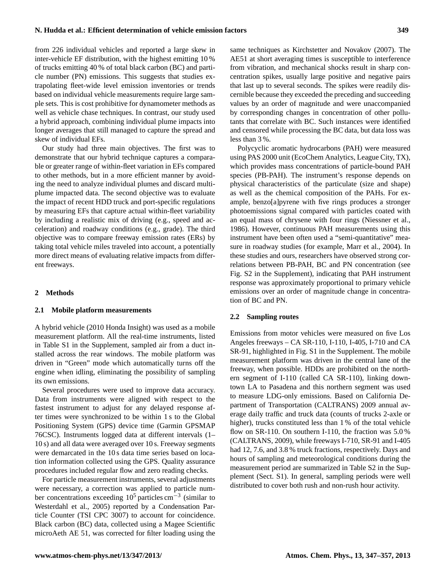from 226 individual vehicles and reported a large skew in inter-vehicle EF distribution, with the highest emitting 10 % of trucks emitting 40 % of total black carbon (BC) and particle number (PN) emissions. This suggests that studies extrapolating fleet-wide level emission inventories or trends based on individual vehicle measurements require large sample sets. This is cost prohibitive for dynamometer methods as well as vehicle chase techniques. In contrast, our study used a hybrid approach, combining individual plume impacts into longer averages that still managed to capture the spread and skew of individual EFs.

Our study had three main objectives. The first was to demonstrate that our hybrid technique captures a comparable or greater range of within-fleet variation in EFs compared to other methods, but in a more efficient manner by avoiding the need to analyze individual plumes and discard multiplume impacted data. The second objective was to evaluate the impact of recent HDD truck and port-specific regulations by measuring EFs that capture actual within-fleet variability by including a realistic mix of driving (e.g., speed and acceleration) and roadway conditions (e.g., grade). The third objective was to compare freeway emission rates (ERs) by taking total vehicle miles traveled into account, a potentially more direct means of evaluating relative impacts from different freeways.

## **2 Methods**

#### **2.1 Mobile platform measurements**

A hybrid vehicle (2010 Honda Insight) was used as a mobile measurement platform. All the real-time instruments, listed in Table S1 in the Supplement, sampled air from a duct installed across the rear windows. The mobile platform was driven in "Green" mode which automatically turns off the engine when idling, eliminating the possibility of sampling its own emissions.

Several procedures were used to improve data accuracy. Data from instruments were aligned with respect to the fastest instrument to adjust for any delayed response after times were synchronized to be within 1 s to the Global Positioning System (GPS) device time (Garmin GPSMAP 76CSC). Instruments logged data at different intervals (1– 10 s) and all data were averaged over 10 s. Freeway segments were demarcated in the 10 s data time series based on location information collected using the GPS. Quality assurance procedures included regular flow and zero reading checks.

For particle measurement instruments, several adjustments were necessary, a correction was applied to particle number concentrations exceeding 10<sup>5</sup> particles cm−<sup>3</sup> (similar to Westerdahl et al., 2005) reported by a Condensation Particle Counter (TSI CPC 3007) to account for coincidence. Black carbon (BC) data, collected using a Magee Scientific microAeth AE 51, was corrected for filter loading using the same techniques as Kirchstetter and Novakov (2007). The AE51 at short averaging times is susceptible to interference from vibration, and mechanical shocks result in sharp concentration spikes, usually large positive and negative pairs that last up to several seconds. The spikes were readily discernible because they exceeded the preceding and succeeding values by an order of magnitude and were unaccompanied by corresponding changes in concentration of other pollutants that correlate with BC. Such instances were identified and censored while processing the BC data, but data loss was less than 3 %.

Polycyclic aromatic hydrocarbons (PAH) were measured using PAS 2000 unit (EcoChem Analytics, League City, TX), which provides mass concentrations of particle-bound PAH species (PB-PAH). The instrument's response depends on physical characteristics of the particulate (size and shape) as well as the chemical composition of the PAHs. For example, benzo[a]pyrene with five rings produces a stronger photoemissions signal compared with particles coated with an equal mass of chrysene with four rings (Niessner et al., 1986). However, continuous PAH measurements using this instrument have been often used a "semi-quantitative" measure in roadway studies (for example, Marr et al., 2004). In these studies and ours, researchers have observed strong correlations between PB-PAH, BC and PN concentration (see Fig. S2 in the Supplement), indicating that PAH instrument response was approximately proportional to primary vehicle emissions over an order of magnitude change in concentration of BC and PN.

## **2.2 Sampling routes**

Emissions from motor vehicles were measured on five Los Angeles freeways – CA SR-110, I-110, I-405, I-710 and CA SR-91, highlighted in Fig. S1 in the Supplement. The mobile measurement platform was driven in the central lane of the freeway, when possible. HDDs are prohibited on the northern segment of I-110 (called CA SR-110), linking downtown LA to Pasadena and this northern segment was used to measure LDG-only emissions. Based on California Department of Transportation (CALTRANS) 2009 annual average daily traffic and truck data (counts of trucks 2-axle or higher), trucks constituted less than 1 % of the total vehicle flow on SR-110. On southern I-110, the fraction was 5.0% (CALTRANS, 2009), while freeways I-710, SR-91 and I-405 had 12, 7.6, and 3.8 % truck fractions, respectively. Days and hours of sampling and meteorological conditions during the measurement period are summarized in Table S2 in the Supplement (Sect. S1). In general, sampling periods were well distributed to cover both rush and non-rush hour activity.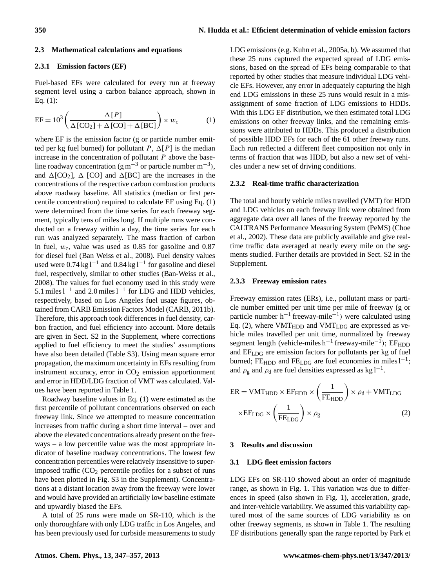## **2.3 Mathematical calculations and equations**

## **2.3.1 Emission factors (EF)**

Fuel-based EFs were calculated for every run at freeway segment level using a carbon balance approach, shown in Eq. (1):

$$
EF = 103 \left( \frac{\Delta [P]}{\Delta [CO_2] + \Delta [CO] + \Delta [BC]} \right) \times w_c
$$
 (1)

where EF is the emission factor (g or particle number emitted per kg fuel burned) for pollutant P,  $\Delta[P]$  is the median increase in the concentration of pollutant  $P$  above the baseline roadway concentration (g m<sup>-3</sup> or particle number m<sup>-3</sup>), and  $\Delta$ [CO<sub>2</sub>],  $\Delta$  [CO] and  $\Delta$ [BC] are the increases in the concentrations of the respective carbon combustion products above roadway baseline. All statistics (median or first percentile concentration) required to calculate EF using Eq. (1) were determined from the time series for each freeway segment, typically tens of miles long. If multiple runs were conducted on a freeway within a day, the time series for each run was analyzed separately. The mass fraction of carbon in fuel,  $w_c$ , value was used as 0.85 for gasoline and 0.87 for diesel fuel (Ban Weiss et al., 2008). Fuel density values used were  $0.74 \text{ kg} \cdot 1^{-1}$  and  $0.84 \text{ kg} \cdot 1^{-1}$  for gasoline and diesel fuel, respectively, similar to other studies (Ban-Weiss et al., 2008). The values for fuel economy used in this study were 5.1 miles  $l^{-1}$  and 2.0 miles  $l^{-1}$  for LDG and HDD vehicles, respectively, based on Los Angeles fuel usage figures, obtained from CARB Emission Factors Model (CARB, 2011b). Therefore, this approach took differences in fuel density, carbon fraction, and fuel efficiency into account. More details are given in Sect. S2 in the Supplement, where corrections applied to fuel efficiency to meet the studies' assumptions have also been detailed (Table S3). Using mean square error propagation, the maximum uncertainty in EFs resulting from instrument accuracy, error in  $CO<sub>2</sub>$  emission apportionment and error in HDD/LDG fraction of VMT was calculated. Values have been reported in Table 1.

Roadway baseline values in Eq. (1) were estimated as the first percentile of pollutant concentrations observed on each freeway link. Since we attempted to measure concentration increases from traffic during a short time interval – over and above the elevated concentrations already present on the freeways – a low percentile value was the most appropriate indicator of baseline roadway concentrations. The lowest few concentration percentiles were relatively insensitive to superimposed traffic  $(CO<sub>2</sub>$  percentile profiles for a subset of runs have been plotted in Fig. S3 in the Supplement). Concentrations at a distant location away from the freeway were lower and would have provided an artificially low baseline estimate and upwardly biased the EFs.

A total of 25 runs were made on SR-110, which is the only thoroughfare with only LDG traffic in Los Angeles, and has been previously used for curbside measurements to study LDG emissions (e.g. Kuhn et al., 2005a, b). We assumed that these 25 runs captured the expected spread of LDG emissions, based on the spread of EFs being comparable to that reported by other studies that measure individual LDG vehicle EFs. However, any error in adequately capturing the high end LDG emissions in these 25 runs would result in a misassignment of some fraction of LDG emissions to HDDs. With this LDG EF distribution, we then estimated total LDG emissions on other freeway links, and the remaining emissions were attributed to HDDs. This produced a distribution of possible HDD EFs for each of the 61 other freeway runs. Each run reflected a different fleet composition not only in terms of fraction that was HDD, but also a new set of vehicles under a new set of driving conditions.

## **2.3.2 Real-time traffic characterization**

The total and hourly vehicle miles travelled (VMT) for HDD and LDG vehicles on each freeway link were obtained from aggregate data over all lanes of the freeway reported by the CALTRANS Performance Measuring System (PeMS) (Choe et al., 2002). These data are publicly available and give realtime traffic data averaged at nearly every mile on the segments studied. Further details are provided in Sect. S2 in the Supplement.

#### **2.3.3 Freeway emission rates**

Freeway emission rates (ERs), i.e., pollutant mass or particle number emitted per unit time per mile of freeway (g or particle number h−<sup>1</sup> freeway-mile−<sup>1</sup> ) were calculated using Eq. (2), where  $VMT_{HDD}$  and  $VMT_{LDG}$  are expressed as vehicle miles travelled per unit time, normalized by freeway segment length (vehicle-miles  $h^{-1}$  freeway-mile<sup>-1</sup>); EF<sub>HDD</sub> and  $EF<sub>LDG</sub>$  are emission factors for pollutants per kg of fuel burned; FE<sub>HDD</sub> and FE<sub>LDG</sub> are fuel economies in miles  $l^{-1}$ ; and  $\rho_g$  and  $\rho_d$  are fuel densities expressed as kg l<sup>-1</sup>.

$$
ER = VMT_{HDD} \times EF_{HDD} \times \left(\frac{1}{FE_{HDD}}\right) \times \rho_d + VMT_{LDG}
$$

$$
\times EF_{LDG} \times \left(\frac{1}{FE_{LDG}}\right) \times \rho_g
$$
(2)

## **3 Results and discussion**

## **3.1 LDG fleet emission factors**

LDG EFs on SR-110 showed about an order of magnitude range, as shown in Fig. 1. This variation was due to differences in speed (also shown in Fig. 1), acceleration, grade, and inter-vehicle variability. We assumed this variability captured most of the same sources of LDG variability as on other freeway segments, as shown in Table 1. The resulting EF distributions generally span the range reported by Park et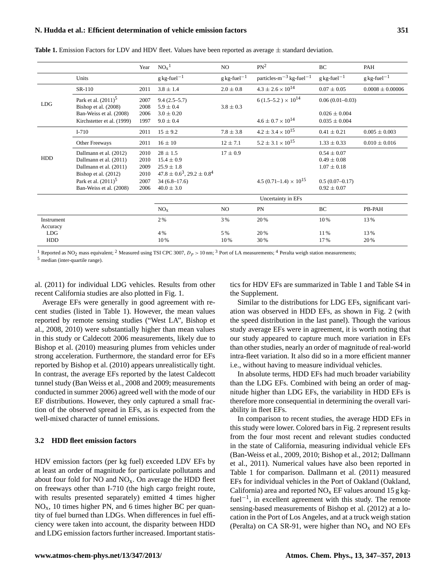## **N. Hudda et al.: Efficient determination of vehicle emission factors 351**

|            |                            | Year | NO <sub>x</sub> <sup>1</sup>        | NO.                       | PN <sup>2</sup>                           | BC                         | PAH                       |
|------------|----------------------------|------|-------------------------------------|---------------------------|-------------------------------------------|----------------------------|---------------------------|
|            | Units                      |      | $g$ kg-fuel <sup>-1</sup>           | $g$ kg-fuel <sup>-1</sup> | particles- $m^{-3}$ kg-fuel <sup>-1</sup> | $g kg$ -fuel <sup>-1</sup> | $g$ kg-fuel <sup>-1</sup> |
| <b>LDG</b> | SR-110                     | 2011 | $3.8 \pm 1.4$                       | $2.0 \pm 0.8$             | $4.3 \pm 2.6 \times 10^{14}$              | $0.07 \pm 0.05$            | $0.0008 \pm 0.00006$      |
|            | Park et al. $(2011)^5$     | 2007 | $9.4(2.5-5.7)$                      |                           | $6(1.5-5.2) \times 10^{14}$               | $0.06(0.01-0.03)$          |                           |
|            | Bishop et al. (2008)       | 2008 | $5.9 \pm 0.4$                       | $3.8 \pm 0.3$             |                                           |                            |                           |
|            | Ban-Weiss et al. (2008)    | 2006 | $3.0 \pm 0.20$                      |                           |                                           | $0.026 \pm 0.004$          |                           |
|            | Kirchstetter et al. (1999) | 1997 | $9.0 \pm 0.4$                       |                           | $4.6 \pm 0.7 \times 10^{14}$              | $0.035 \pm 0.004$          |                           |
| <b>HDD</b> | $I-710$                    | 2011 | $15 \pm 9.2$                        | $7.8 \pm 3.8$             | $4.2 \pm 3.4 \times 10^{15}$              | $0.41 \pm 0.21$            | $0.005 \pm 0.003$         |
|            | Other Freeways             | 2011 | $16 \pm 10$                         | $12 \pm 7.1$              | $5.2 \pm 3.1 \times 10^{15}$              | $1.33 \pm 0.33$            | $0.010 \pm 0.016$         |
|            | Dallmann et al. (2012)     | 2010 | $28 \pm 1.5$                        | $17 \pm 0.9$              |                                           | $0.54 \pm 0.07$            |                           |
|            | Dallmann et al. (2011)     | 2010 | $15.4 \pm 0.9$                      |                           |                                           | $0.49 \pm 0.08$            |                           |
|            | Dallmann et al. (2011)     | 2009 | $25.9 \pm 1.8$                      |                           |                                           | $1.07 \pm 0.18$            |                           |
|            | Bishop et al. (2012)       | 2010 | $47.8 \pm 0.6^3$ , 29.2 $\pm 0.8^4$ |                           |                                           |                            |                           |
|            | Park et al. $(2011)^5$     | 2007 | $34(6.8-17.6)$                      |                           | 4.5 (0.71–1.4) $\times$ 10 <sup>15</sup>  | $0.5(0.07-0.17)$           |                           |
|            | Ban-Weiss et al. (2008)    | 2006 | $40.0 \pm 3.0$                      |                           |                                           | $0.92 \pm 0.07$            |                           |
|            |                            |      | Uncertainty in EFs                  |                           |                                           |                            |                           |
|            |                            |      | NO <sub>x</sub>                     | NO.                       | PN                                        | BC                         | PB-PAH                    |
| Instrument |                            |      | 2%                                  | 3 %                       | 20%                                       | 10%                        | 13%                       |
| Accuracy   |                            |      |                                     |                           |                                           |                            |                           |
| <b>LDG</b> |                            |      | 4 %                                 | 5 %                       | 20%                                       | 11%                        | 13%                       |
| <b>HDD</b> |                            |      | 10%                                 | 10%                       | 30%                                       | 17%                        | 20%                       |

**Table 1.** Emission Factors for LDV and HDV fleet. Values have been reported as average ± standard deviation.

<sup>1</sup> Reported as NO<sub>2</sub> mass equivalent; <sup>2</sup> Measured using TSI CPC 3007,  $D_p > 10$  nm; <sup>3</sup> Port of LA measurements; <sup>4</sup> Peralta weigh station measurements;

<sup>5</sup> median (inter-quartile range).

al. (2011) for individual LDG vehicles. Results from other recent California studies are also plotted in Fig. 1.

Average EFs were generally in good agreement with recent studies (listed in Table 1). However, the mean values reported by remote sensing studies ("West LA", Bishop et al., 2008, 2010) were substantially higher than mean values in this study or Caldecott 2006 measurements, likely due to Bishop et al. (2010) measuring plumes from vehicles under strong acceleration. Furthermore, the standard error for EFs reported by Bishop et al. (2010) appears unrealistically tight. In contrast, the average EFs reported by the latest Caldecott tunnel study (Ban Weiss et al., 2008 and 2009; measurements conducted in summer 2006) agreed well with the mode of our EF distributions. However, they only captured a small fraction of the observed spread in EFs, as is expected from the well-mixed character of tunnel emissions.

## **3.2 HDD fleet emission factors**

HDV emission factors (per kg fuel) exceeded LDV EFs by at least an order of magnitude for particulate pollutants and about four fold for  $NO$  and  $NO<sub>x</sub>$ . On average the HDD fleet on freeways other than I-710 (the high cargo freight route, with results presented separately) emitted 4 times higher  $NO<sub>x</sub>$ , 10 times higher PN, and 6 times higher BC per quantity of fuel burned than LDGs. When differences in fuel efficiency were taken into account, the disparity between HDD and LDG emission factors further increased. Important statistics for HDV EFs are summarized in Table 1 and Table S4 in the Supplement.

Similar to the distributions for LDG EFs, significant variation was observed in HDD EFs, as shown in Fig. 2 (with the speed distribution in the last panel). Though the various study average EFs were in agreement, it is worth noting that our study appeared to capture much more variation in EFs than other studies, nearly an order of magnitude of real-world intra-fleet variation. It also did so in a more efficient manner i.e., without having to measure individual vehicles.

In absolute terms, HDD EFs had much broader variability than the LDG EFs. Combined with being an order of magnitude higher than LDG EFs, the variability in HDD EFs is therefore more consequential in determining the overall variability in fleet EFs.

In comparison to recent studies, the average HDD EFs in this study were lower. Colored bars in Fig. 2 represent results from the four most recent and relevant studies conducted in the state of California, measuring individual vehicle EFs (Ban-Weiss et al., 2009, 2010; Bishop et al., 2012; Dallmann et al., 2011). Numerical values have also been reported in Table 1 for comparison. Dallmann et al. (2011) measured EFs for individual vehicles in the Port of Oakland (Oakland, California) area and reported  $NO<sub>x</sub>$  EF values around 15 g kgfuel−<sup>1</sup> , in excellent agreement with this study. The remote sensing-based measurements of Bishop et al. (2012) at a location in the Port of Los Angeles, and at a truck weigh station (Peralta) on CA SR-91, were higher than  $NO<sub>x</sub>$  and NO EFs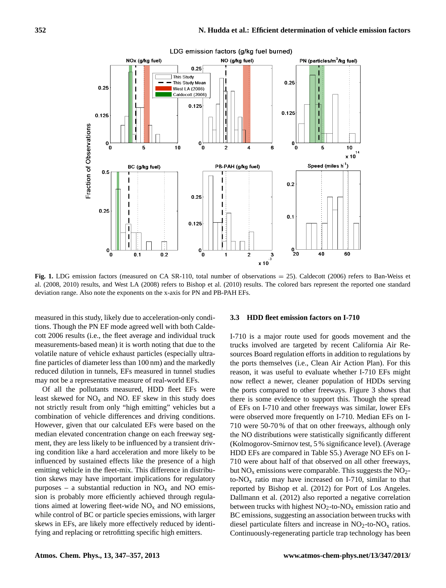

**Fig. 1.** LDG emission factors (measured on CA SR-110, total number of observations = 25). Caldecott (2006) refers to Ban-Weiss et al. (2008, 2010) results, and West LA (2008) refers to Bishop et al. (2010) results. The colored bars represent the reported one standard deviation range. Also note the exponents on the x-axis for PN and PB-PAH EFs.

measured in this study, likely due to acceleration-only conditions. Though the PN EF mode agreed well with both Caldecott 2006 results (i.e., the fleet average and individual truck measurements-based mean) it is worth noting that due to the volatile nature of vehicle exhaust particles (especially ultrafine particles of diameter less than 100 nm) and the markedly reduced dilution in tunnels, EFs measured in tunnel studies may not be a representative measure of real-world EFs.

Of all the pollutants measured, HDD fleet EFs were least skewed for  $NO<sub>x</sub>$  and NO. EF skew in this study does not strictly result from only "high emitting" vehicles but a combination of vehicle differences and driving conditions. However, given that our calculated EFs were based on the median elevated concentration change on each freeway segment, they are less likely to be influenced by a transient driving condition like a hard acceleration and more likely to be influenced by sustained effects like the presence of a high emitting vehicle in the fleet-mix. This difference in distribution skews may have important implications for regulatory purposes – a substantial reduction in  $NO<sub>x</sub>$  and NO emission is probably more efficiently achieved through regulations aimed at lowering fleet-wide  $NO<sub>x</sub>$  and NO emissions, while control of BC or particle species emissions, with larger skews in EFs, are likely more effectively reduced by identifying and replacing or retrofitting specific high emitters.

## **3.3 HDD fleet emission factors on I-710**

I-710 is a major route used for goods movement and the trucks involved are targeted by recent California Air Resources Board regulation efforts in addition to regulations by the ports themselves (i.e., Clean Air Action Plan). For this reason, it was useful to evaluate whether I-710 EFs might now reflect a newer, cleaner population of HDDs serving the ports compared to other freeways. Figure 3 shows that there is some evidence to support this. Though the spread of EFs on I-710 and other freeways was similar, lower EFs were observed more frequently on I-710. Median EFs on I-710 were 50-70 % of that on other freeways, although only the NO distributions were statistically significantly different (Kolmogorov-Smirnov test, 5 % significance level). (Average HDD EFs are compared in Table S5.) Average NO EFs on I-710 were about half of that observed on all other freeways, but  $NO<sub>x</sub>$  emissions were comparable. This suggests the  $NO<sub>2</sub>$ to- $NO<sub>x</sub>$  ratio may have increased on I-710, similar to that reported by Bishop et al. (2012) for Port of Los Angeles. Dallmann et al. (2012) also reported a negative correlation between trucks with highest  $NO<sub>2</sub>$ -to- $NO<sub>x</sub>$  emission ratio and BC emissions, suggesting an association between trucks with diesel particulate filters and increase in  $NO<sub>2</sub>$ -to- $NO<sub>x</sub>$  ratios. Continuously-regenerating particle trap technology has been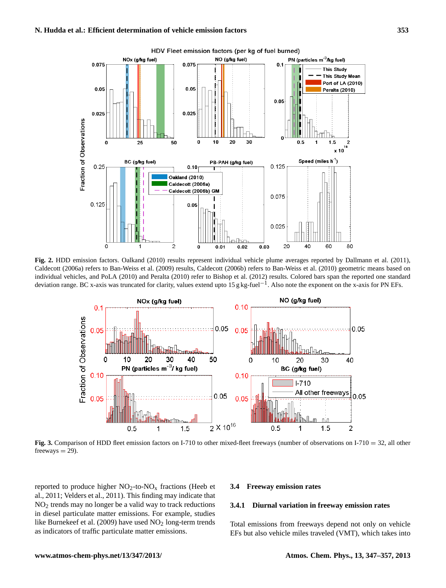

**Fig. 2.** HDD emission factors. Oalkand (2010) results represent individual vehicle plume averages reported by Dallmann et al. (2011), Caldecott (2006a) refers to Ban-Weiss et al. (2009) results, Caldecott (2006b) refers to Ban-Weiss et al. (2010) geometric means based on individual vehicles, and PoLA (2010) and Peralta (2010) refer to Bishop et al. (2012) results. Colored bars span the reported one standard deviation range. BC x-axis was truncated for clarity, values extend upto 15 g kg-fuel−<sup>1</sup> . Also note the exponent on the x-axis for PN EFs.



**Fig. 3.** Comparison of HDD fleet emission factors on I-710 to other mixed-fleet freeways (number of observations on I-710 = 32, all other  $freeways = 29$ ).

reported to produce higher  $NO<sub>2</sub>$ -to- $NO<sub>x</sub>$  fractions (Heeb et al., 2011; Velders et al., 2011). This finding may indicate that NO<sup>2</sup> trends may no longer be a valid way to track reductions in diesel particulate matter emissions. For example, studies like Burnekeef et al. (2009) have used  $NO<sub>2</sub>$  long-term trends as indicators of traffic particulate matter emissions.

## **3.4 Freeway emission rates**

#### **3.4.1 Diurnal variation in freeway emission rates**

Total emissions from freeways depend not only on vehicle EFs but also vehicle miles traveled (VMT), which takes into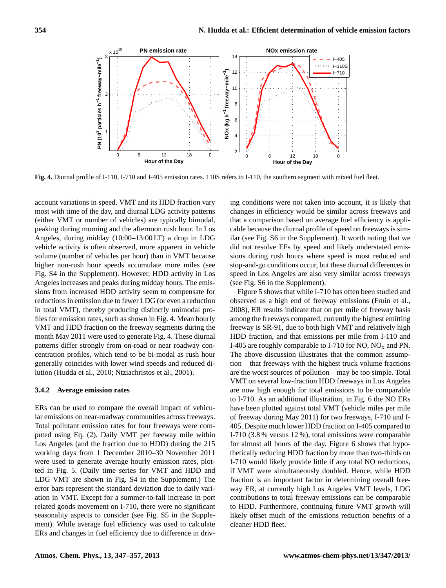

**Fig. 4.** Diurnal profile of I-110, I-710 and I-405 emission rates. 110S refers to I-110, the southern segment with mixed fuel fleet.

account variations in speed. VMT and its HDD fraction vary most with time of the day, and diurnal LDG activity patterns (either VMT or number of vehicles) are typically bimodal, peaking during morning and the afternoon rush hour. In Los Angeles, during midday (10:00–13:00 LT) a drop in LDG vehicle activity is often observed, more apparent in vehicle volume (number of vehicles per hour) than in VMT because higher non-rush hour speeds accumulate more miles (see Fig. S4 in the Supplement). However, HDD activity in Los Angeles increases and peaks during midday hours. The emissions from increased HDD activity seem to compensate for reductions in emission due to fewer LDG (or even a reduction in total VMT), thereby producing distinctly unimodal profiles for emission rates, such as shown in Fig. 4. Mean hourly VMT and HDD fraction on the freeway segments during the month May 2011 were used to generate Fig. 4. These diurnal patterns differ strongly from on-road or near roadway concentration profiles, which tend to be bi-modal as rush hour generally coincides with lower wind speeds and reduced dilution (Hudda et al., 2010; Ntziachristos et al., 2001).

#### **3.4.2 Average emission rates**

ERs can be used to compare the overall impact of vehicular emissions on near-roadway communities across freeways. Total pollutant emission rates for four freeways were computed using Eq. (2). Daily VMT per freeway mile within Los Angeles (and the fraction due to HDD) during the 215 working days from 1 December 2010–30 November 2011 were used to generate average hourly emission rates, plotted in Fig. 5. (Daily time series for VMT and HDD and LDG VMT are shown in Fig. S4 in the Supplement.) The error bars represent the standard deviation due to daily variation in VMT. Except for a summer-to-fall increase in port related goods movement on I-710, there were no significant seasonality aspects to consider (see Fig. S5 in the Supplement). While average fuel efficiency was used to calculate ERs and changes in fuel efficiency due to difference in driving conditions were not taken into account, it is likely that changes in efficiency would be similar across freeways and that a comparison based on average fuel efficiency is applicable because the diurnal profile of speed on freeways is similar (see Fig. S6 in the Supplement). It worth noting that we did not resolve EFs by speed and likely understated emissions during rush hours where speed is most reduced and stop-and-go conditions occur, but these diurnal differences in speed in Los Angeles are also very similar across freeways (see Fig. S6 in the Supplement).

Figure 5 shows that while I-710 has often been studied and observed as a high end of freeway emissions (Fruin et al., 2008), ER results indicate that on per mile of freeway basis among the freeways compared, currently the highest emitting freeway is SR-91, due to both high VMT and relatively high HDD fraction, and that emissions per mile from I-110 and I-405 are roughly comparable to I-710 for NO,  $NO<sub>x</sub>$  and PN. The above discussion illustrates that the common assumption – that freeways with the highest truck volume fractions are the worst sources of pollution – may be too simple. Total VMT on several low-fraction HDD freeways in Los Angeles are now high enough for total emissions to be comparable to I-710. As an additional illustration, in Fig. 6 the NO ERs have been plotted against total VMT (vehicle miles per mile of freeway during May 2011) for two freeways, I-710 and I-405. Despite much lower HDD fraction on I-405 compared to I-710 (3.8 % versus 12 %), total emissions were comparable for almost all hours of the day. Figure 6 shows that hypothetically reducing HDD fraction by more than two-thirds on I-710 would likely provide little if any total NO reductions, if VMT were simultaneously doubled. Hence, while HDD fraction is an important factor in determining overall freeway ER, at currently high Los Angeles VMT levels, LDG contributions to total freeway emissions can be comparable to HDD. Furthermore, continuing future VMT growth will likely offset much of the emissions reduction benefits of a cleaner HDD fleet.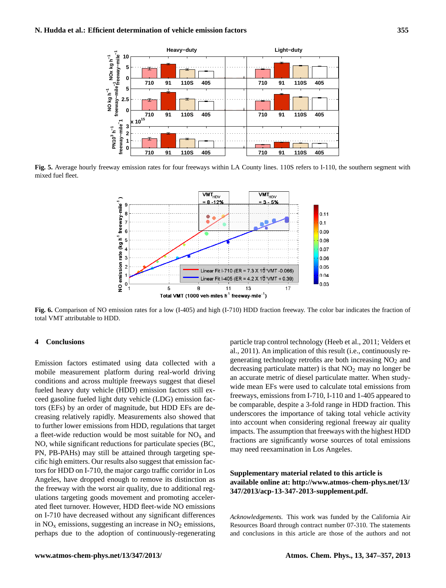

**Fig. 5.** Average hourly freeway emission rates for four freeways within LA County lines. 110S refers to I-110, the southern segment with mixed fuel fleet.



**Fig. 6.** Comparison of NO emission rates for a low (I-405) and high (I-710) HDD fraction freeway. The color bar indicates the fraction of total VMT attributable to HDD.

# **4 Conclusions**

Emission factors estimated using data collected with a mobile measurement platform during real-world driving conditions and across multiple freeways suggest that diesel fueled heavy duty vehicle (HDD) emission factors still exceed gasoline fueled light duty vehicle (LDG) emission factors (EFs) by an order of magnitude, but HDD EFs are decreasing relatively rapidly. Measurements also showed that to further lower emissions from HDD, regulations that target a fleet-wide reduction would be most suitable for  $NO<sub>x</sub>$  and NO, while significant reductions for particulate species (BC, PN, PB-PAHs) may still be attained through targeting specific high emitters. Our results also suggest that emission factors for HDD on I-710, the major cargo traffic corridor in Los Angeles, have dropped enough to remove its distinction as the freeway with the worst air quality, due to additional regulations targeting goods movement and promoting accelerated fleet turnover. However, HDD fleet-wide NO emissions on I-710 have decreased without any significant differences in  $NO<sub>x</sub>$  emissions, suggesting an increase in  $NO<sub>2</sub>$  emissions, perhaps due to the adoption of continuously-regenerating particle trap control technology (Heeb et al., 2011; Velders et al., 2011). An implication of this result (i.e., continuously regenerating technology retrofits are both increasing  $NO<sub>2</sub>$  and decreasing particulate matter) is that  $NO<sub>2</sub>$  may no longer be an accurate metric of diesel particulate matter. When studywide mean EFs were used to calculate total emissions from freeways, emissions from I-710, I-110 and 1-405 appeared to be comparable, despite a 3-fold range in HDD fraction. This underscores the importance of taking total vehicle activity into account when considering regional freeway air quality impacts. The assumption that freeways with the highest HDD fractions are significantly worse sources of total emissions may need reexamination in Los Angeles.

# **Supplementary material related to this article is available online at: [http://www.atmos-chem-phys.net/13/](http://www.atmos-chem-phys.net/13/347/2013/acp-13-347-2013-supplement.pdf) [347/2013/acp-13-347-2013-supplement.pdf.](http://www.atmos-chem-phys.net/13/347/2013/acp-13-347-2013-supplement.pdf)**

*Acknowledgements.* This work was funded by the California Air Resources Board through contract number 07-310. The statements and conclusions in this article are those of the authors and not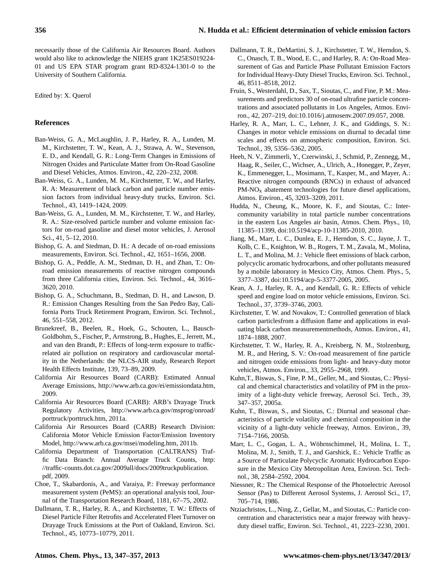necessarily those of the California Air Resources Board. Authors would also like to acknowledge the NIEHS grant 1K25ES019224- 01 and US EPA STAR program grant RD-8324-1301-0 to the University of Southern California.

Edited by: X. Querol

# **References**

- Ban-Weiss, G. A., McLaughlin, J. P., Harley, R. A., Lunden, M. M., Kirchstetter, T. W., Kean, A. J., Strawa, A. W., Stevenson, E. D., and Kendall, G. R.: Long-Term Changes in Emissions of Nitrogen Oxides and Particulate Matter from On-Road Gasoline and Diesel Vehicles, Atmos. Environ., 42, 220–232, 2008.
- Ban-Weiss, G. A., Lunden, M. M., Kirchstetter, T. W., and Harley, R. A: Measurement of black carbon and particle number emission factors from individual heavy-duty trucks, Environ. Sci. Technol., 43, 1419–1424, 2009.
- Ban-Weiss, G. A., Lunden, M. M., Kirchstetter, T. W., and Harley, R. A.: Size-resolved particle number and volume emission factors for on-road gasoline and diesel motor vehicles, J. Aerosol Sci., 41, 5–12, 2010.
- Bishop, G. A. and Stedman, D. H.: A decade of on-road emissions measurements, Environ. Sci. Technol., 42, 1651–1656, 2008.
- Bishop, G. A., Peddle, A. M., Stedman, D. H., and Zhan, T.: Onroad emission measurements of reactive nitrogen compounds from three California cities, Environ. Sci. Technol., 44, 3616– 3620, 2010.
- Bishop, G. A., Schuchmann, B., Stedman, D. H., and Lawson, D. R.: Emission Changes Resulting from the San Pedro Bay, California Ports Truck Retirement Program, Environ. Sci. Technol., 46, 551–558, 2012.
- Brunekreef, B., Beelen, R., Hoek, G., Schouten, L., Bausch-Goldbohm, S., Fischer, P., Armstrong, B., Hughes, E., Jerrett, M., and van den Brandt, P.: Effects of long-term exposure to trafficrelated air pollution on respiratory and cardiovascular mortality in the Netherlands: the NLCS-AIR study, Research Report Health Effects Institute, 139, 73–89, 2009.
- California Air Resources Board (CARB): Estimated Annual Average Emissions, [http://www.arb.ca.gov/ei/emissiondata.htm,](http://www.arb.ca.gov/ei/emissiondata.htm) 2009.
- California Air Resources Board (CARB): ARB's Drayage Truck Regulatory Activities, [http://www.arb.ca.gov/msprog/onroad/](http://www.arb.ca.gov/msprog/onroad/porttruck/porttruck.htm) [porttruck/porttruck.htm,](http://www.arb.ca.gov/msprog/onroad/porttruck/porttruck.htm) 2011a.
- California Air Resources Board (CARB) Research Division: California Motor Vehicle Emission Factor/Emission Inventory Model, [http://www.arb.ca.gov/msei/modeling.htm,](http://www.arb.ca.gov/msei/modeling.htm) 2011b.
- California Department of Transportation (CALTRANS) Traffic Data Branch: Annual Average Truck Counts, [http:](http://traffic-counts.dot.ca.gov/2009all/docs/2009truckpublication.pdf) [//traffic-counts.dot.ca.gov/2009all/docs/2009truckpublication.](http://traffic-counts.dot.ca.gov/2009all/docs/2009truckpublication.pdf) [pdf,](http://traffic-counts.dot.ca.gov/2009all/docs/2009truckpublication.pdf) 2009.
- Choe, T., Skabardonis, A., and Varaiya, P.: Freeway performance measurement system (PeMS): an operational analysis tool, Journal of the Transportation Research Board, 1181, 67–75, 2002.
- Dallmann, T. R., Harley, R. A., and Kirchstetter, T. W.: Effects of Diesel Particle Filter Retrofits and Accelerated Fleet Turnover on Drayage Truck Emissions at the Port of Oakland, Environ. Sci. Technol., 45, 10773–10779, 2011.
- Dallmann, T. R., DeMartini, S. J., Kirchstetter, T. W., Herndon, S. C., Onasch, T. B., Wood, E. C., and Harley, R. A: On-Road Measurement of Gas and Particle Phase Pollutant Emission Factors for Individual Heavy-Duty Diesel Trucks, Environ. Sci. Technol., 46, 8511–8518, 2012.
- Fruin, S., Westerdahl, D., Sax, T., Sioutas, C., and Fine, P. M.: Measurements and predictors 30 of on-road ultrafine particle concentrations and associated pollutants in Los Angeles, Atmos. Environ., 42, 207–219, [doi:10.1016/j.atmosenv.2007.09.057,](http://dx.doi.org/10.1016/j.atmosenv.2007.09.057) 2008.
- Harley, R. A., Marr, L. C., Lehner, J. K., and Giddings, S. N.: Changes in motor vehicle emissions on diurnal to decadal time scales and effects on atmospheric composition, Environ. Sci. Technol., 39, 5356–5362, 2005.
- Heeb, N. V., Zimmerli, Y., Czerwinski, J., Schmid, P., Zennegg, M., Haag, R., Seiler, C., Wichser, A., Ulrich, A., Honegger, P., Zeyer, K., Emmenegger, L., Mosimann, T., Kasper, M., and Mayer, A.: Reactive nitrogen compounds (RNCs) in exhaust of advanced  $PM-NO<sub>x</sub>$  abatement technologies for future diesel applications, Atmos. Environ., 45, 3203–3209, 2011.
- Hudda, N., Cheung, K., Moore, K. F., and Sioutas, C.: Intercommunity variability in total particle number concentrations in the eastern Los Angeles air basin, Atmos. Chem. Phys., 10, 11385–11399, [doi:10.5194/acp-10-11385-2010,](http://dx.doi.org/10.5194/acp-10-11385-2010) 2010.
- Jiang, M., Marr, L. C., Dunlea, E. J., Herndon, S. C., Jayne, J. T., Kolb, C. E., Knighton, W. B., Rogers, T. M., Zavala, M., Molina, L. T., and Molina, M. J.: Vehicle fleet emissions of black carbon, polycyclic aromatic hydrocarbons, and other pollutants measured by a mobile laboratory in Mexico City, Atmos. Chem. Phys., 5, 3377–3387, [doi:10.5194/acp-5-3377-2005,](http://dx.doi.org/10.5194/acp-5-3377-2005) 2005.
- Kean, A. J., Harley, R. A., and Kendall, G. R.: Effects of vehicle speed and engine load on motor vehicle emissions, Environ. Sci. Technol., 37, 3739–3746, 2003.
- Kirchstetter, T. W. and Novakov, T.: Controlled generation of black carbon particlesfrom a diffusion flame and applications in evaluating black carbon measurementmethods, Atmos. Environ., 41, 1874–1888, 2007.
- Kirchstetter, T. W., Harley, R. A., Kreisberg, N. M., Stolzenburg, M. R., and Hering, S. V.: On-road measurement of fine particle and nitrogen oxide emissions from light- and heavy-duty motor vehicles, Atmos. Environ., 33, 2955–2968, 1999.
- Kuhn,T., Biswas, S., Fine, P. M., Geller, M., and Sioutas, C.: Physical and chemical characteristics and volatility of PM in the proximity of a light-duty vehicle freeway, Aerosol Sci. Tech., 39, 347–357, 2005a.
- Kuhn, T., Biswas, S., and Sioutas, C.: Diurnal and seasonal characteristics of particle volatility and chemical composition in the vicinity of a light-duty vehicle freeway, Atmos. Environ., 39, 7154–7166, 2005b.
- Marr, L. C., Gogan, L. A., Wöhrnschimmel, H., Molina, L. T., Molina, M. J., Smith, T. J., and Garshick, E.: Vehicle Traffic as a Source of Particulate Polycyclic Aromatic Hydrocarbon Exposure in the Mexico City Metropolitan Area, Environ. Sci. Technol., 38, 2584–2592, 2004.
- Niessner, R.: The Chemical Response of the Photoelectric Aerosol Sensor (Pas) to Different Aerosol Systems, J. Aerosol Sci., 17, 705–714, 1986.
- Ntziachristos, L., Ning, Z., Gellar, M., and Sioutas, C.: Particle concentration and characteristics near a major freeway with heavyduty diesel traffic, Environ. Sci. Technol., 41, 2223–2230, 2001.